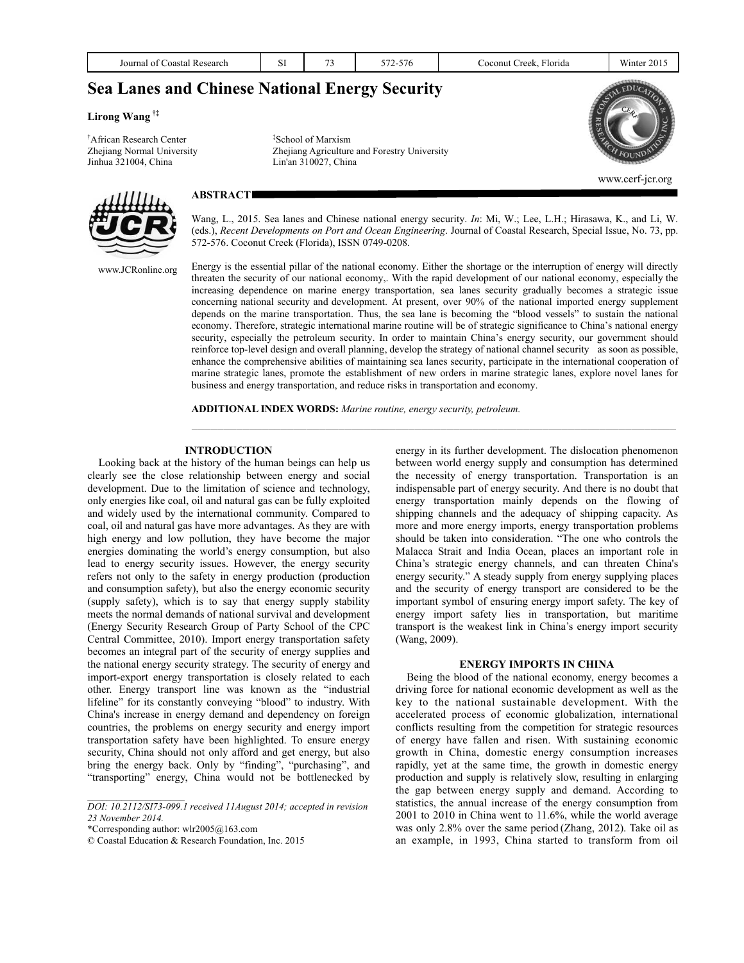| Journal of Coastal Research                           | SI | 73                             | 572-576                                      | Coconut Creek, Florida | Winter 2015 |
|-------------------------------------------------------|----|--------------------------------|----------------------------------------------|------------------------|-------------|
| <b>Sea Lanes and Chinese National Energy Security</b> |    |                                |                                              |                        |             |
| Lirong Wang $\sharp$                                  |    |                                |                                              |                        |             |
| <sup>†</sup> African Research Center                  |    | <sup>‡</sup> School of Marxism |                                              |                        |             |
| Zhejiang Normal University                            |    |                                | Zhejiang Agriculture and Forestry University |                        |             |
| Jinhua 321004, China                                  |    | Lin'an 310027, China           |                                              |                        |             |

www.cerf-jcr.org

## **ABSTRACT**

Wang, L., 2015. Sea lanes and Chinese national energy security. *In*: Mi, W.; Lee, L.H.; Hirasawa, K., and Li, W. (eds.), *Recent Developments on Port and Ocean Engineering*. Journal of Coastal Research, Special Issue, No. 73, pp. 572-576. Coconut Creek (Florida), ISSN 0749-0208.

Energy is the essential pillar of the national economy. Either the shortage or the interruption of energy will directly threaten the security of our national economy,. With the rapid development of our national economy, especially the increasing dependence on marine energy transportation, sea lanes security gradually becomes a strategic issue concerning national security and development. At present, over 90% of the national imported energy supplement depends on the marine transportation. Thus, the sea lane is becoming the "blood vessels" to sustain the national economy. Therefore, strategic international marine routine will be of strategic significance to China's national energy security, especially the petroleum security. In order to maintain China's energy security, our government should reinforce top-level design and overall planning, develop the strategy of national channel security as soon as possible, enhance the comprehensive abilities of maintaining sea lanes security, participate in the international cooperation of marine strategic lanes, promote the establishment of new orders in marine strategic lanes, explore novel lanes for business and energy transportation, and reduce risks in transportation and economy.

**ADDITIONAL INDEX WORDS:** *Marine routine, energy security, petroleum.* 

#### **INTRODUCTION**

Looking back at the history of the human beings can help us clearly see the close relationship between energy and social development. Due to the limitation of science and technology, only energies like coal, oil and natural gas can be fully exploited and widely used by the international community. Compared to coal, oil and natural gas have more advantages. As they are with high energy and low pollution, they have become the major energies dominating the world's energy consumption, but also lead to energy security issues. However, the energy security refers not only to the safety in energy production (production and consumption safety), but also the energy economic security (supply safety), which is to say that energy supply stability meets the normal demands of national survival and development (Energy Security Research Group of Party School of the CPC Central Committee, 2010). Import energy transportation safety becomes an integral part of the security of energy supplies and the national energy security strategy. The security of energy and import-export energy transportation is closely related to each other. Energy transport line was known as the "industrial lifeline" for its constantly conveying "blood" to industry. With China's increase in energy demand and dependency on foreign countries, the problems on energy security and energy import transportation safety have been highlighted. To ensure energy security, China should not only afford and get energy, but also bring the energy back. Only by "finding", "purchasing", and "transporting" energy, China would not be bottlenecked by

*DOI: 10.2112/SI73-099.1 received 11August 2014; accepted in revision 23 November 2014.* 

\*Corresponding author: wlr2005@163.com

© Coastal Education & Research Foundation, Inc. 2015

energy in its further development. The dislocation phenomenon between world energy supply and consumption has determined the necessity of energy transportation. Transportation is an indispensable part of energy security. And there is no doubt that energy transportation mainly depends on the flowing of shipping channels and the adequacy of shipping capacity. As more and more energy imports, energy transportation problems should be taken into consideration. "The one who controls the Malacca Strait and India Ocean, places an important role in China's strategic energy channels, and can threaten China's energy security." A steady supply from energy supplying places and the security of energy transport are considered to be the important symbol of ensuring energy import safety. The key of energy import safety lies in transportation, but maritime transport is the weakest link in China's energy import security (Wang, 2009).

#### **ENERGY IMPORTS IN CHINA**

Being the blood of the national economy, energy becomes a driving force for national economic development as well as the key to the national sustainable development. With the accelerated process of economic globalization, international conflicts resulting from the competition for strategic resources of energy have fallen and risen. With sustaining economic growth in China, domestic energy consumption increases rapidly, yet at the same time, the growth in domestic energy production and supply is relatively slow, resulting in enlarging the gap between energy supply and demand. According to statistics, the annual increase of the energy consumption from 2001 to 2010 in China went to 11.6%, while the world average was only 2.8% over the same period (Zhang, 2012). Take oil as an example, in 1993, China started to transform from oil



www.JCRonline.org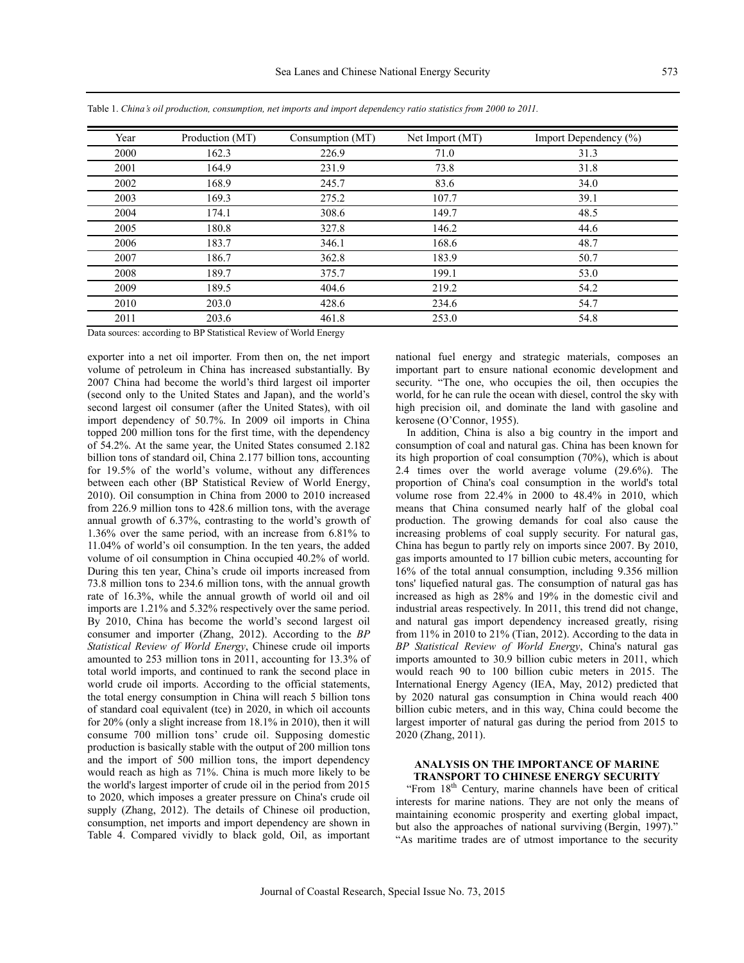| Year | Production (MT) | Consumption (MT) | Net Import (MT) | Import Dependency (%) |
|------|-----------------|------------------|-----------------|-----------------------|
| 2000 | 162.3           | 226.9            | 71.0            | 31.3                  |
| 2001 | 164.9           | 231.9            | 73.8            | 31.8                  |
| 2002 | 168.9           | 245.7            | 83.6            | 34.0                  |
| 2003 | 169.3           | 275.2            | 107.7           | 39.1                  |
| 2004 | 174.1           | 308.6            | 149.7           | 48.5                  |
| 2005 | 180.8           | 327.8            | 146.2           | 44.6                  |
| 2006 | 183.7           | 346.1            | 168.6           | 48.7                  |
| 2007 | 186.7           | 362.8            | 183.9           | 50.7                  |
| 2008 | 189.7           | 375.7            | 199.1           | 53.0                  |
| 2009 | 189.5           | 404.6            | 219.2           | 54.2                  |
| 2010 | 203.0           | 428.6            | 234.6           | 54.7                  |
| 2011 | 203.6           | 461.8            | 253.0           | 54.8                  |

Table 1. *China's oil production, consumption, net imports and import dependency ratio statistics from 2000 to 2011.*

Data sources: according to BP Statistical Review of World Energy

exporter into a net oil importer. From then on, the net import volume of petroleum in China has increased substantially. By 2007 China had become the world's third largest oil importer (second only to the United States and Japan), and the world's second largest oil consumer (after the United States), with oil import dependency of 50.7%. In 2009 oil imports in China topped 200 million tons for the first time, with the dependency of 54.2%. At the same year, the United States consumed 2.182 billion tons of standard oil, China 2.177 billion tons, accounting for 19.5% of the world's volume, without any differences between each other (BP Statistical Review of World Energy, 2010). Oil consumption in China from 2000 to 2010 increased from 226.9 million tons to 428.6 million tons, with the average annual growth of 6.37%, contrasting to the world's growth of 1.36% over the same period, with an increase from 6.81% to 11.04% of world's oil consumption. In the ten years, the added volume of oil consumption in China occupied 40.2% of world. During this ten year, China's crude oil imports increased from 73.8 million tons to 234.6 million tons, with the annual growth rate of 16.3%, while the annual growth of world oil and oil imports are 1.21% and 5.32% respectively over the same period. By 2010, China has become the world's second largest oil consumer and importer (Zhang, 2012). According to the *BP Statistical Review of World Energy*, Chinese crude oil imports amounted to 253 million tons in 2011, accounting for 13.3% of total world imports, and continued to rank the second place in world crude oil imports. According to the official statements, the total energy consumption in China will reach 5 billion tons of standard coal equivalent (tce) in 2020, in which oil accounts for 20% (only a slight increase from 18.1% in 2010), then it will consume 700 million tons' crude oil. Supposing domestic production is basically stable with the output of 200 million tons and the import of 500 million tons, the import dependency would reach as high as 71%. China is much more likely to be the world's largest importer of crude oil in the period from 2015 to 2020, which imposes a greater pressure on China's crude oil supply (Zhang, 2012). The details of Chinese oil production, consumption, net imports and import dependency are shown in Table 4. Compared vividly to black gold, Oil, as important national fuel energy and strategic materials, composes an important part to ensure national economic development and security. "The one, who occupies the oil, then occupies the world, for he can rule the ocean with diesel, control the sky with high precision oil, and dominate the land with gasoline and kerosene (O'Connor, 1955).

In addition, China is also a big country in the import and consumption of coal and natural gas. China has been known for its high proportion of coal consumption (70%), which is about 2.4 times over the world average volume (29.6%). The proportion of China's coal consumption in the world's total volume rose from 22.4% in 2000 to 48.4% in 2010, which means that China consumed nearly half of the global coal production. The growing demands for coal also cause the increasing problems of coal supply security. For natural gas, China has begun to partly rely on imports since 2007. By 2010, gas imports amounted to 17 billion cubic meters, accounting for 16% of the total annual consumption, including 9.356 million tons' liquefied natural gas. The consumption of natural gas has increased as high as 28% and 19% in the domestic civil and industrial areas respectively. In 2011, this trend did not change, and natural gas import dependency increased greatly, rising from 11% in 2010 to 21% (Tian, 2012). According to the data in *BP Statistical Review of World Energy*, China's natural gas imports amounted to 30.9 billion cubic meters in 2011, which would reach 90 to 100 billion cubic meters in 2015. The International Energy Agency (IEA, May, 2012) predicted that by 2020 natural gas consumption in China would reach 400 billion cubic meters, and in this way, China could become the largest importer of natural gas during the period from 2015 to 2020 (Zhang, 2011).

## **ANALYSIS ON THE IMPORTANCE OF MARINE TRANSPORT TO CHINESE ENERGY SECURITY**

"From 18<sup>th</sup> Century, marine channels have been of critical interests for marine nations. They are not only the means of maintaining economic prosperity and exerting global impact, but also the approaches of national surviving (Bergin, 1997)." "As maritime trades are of utmost importance to the security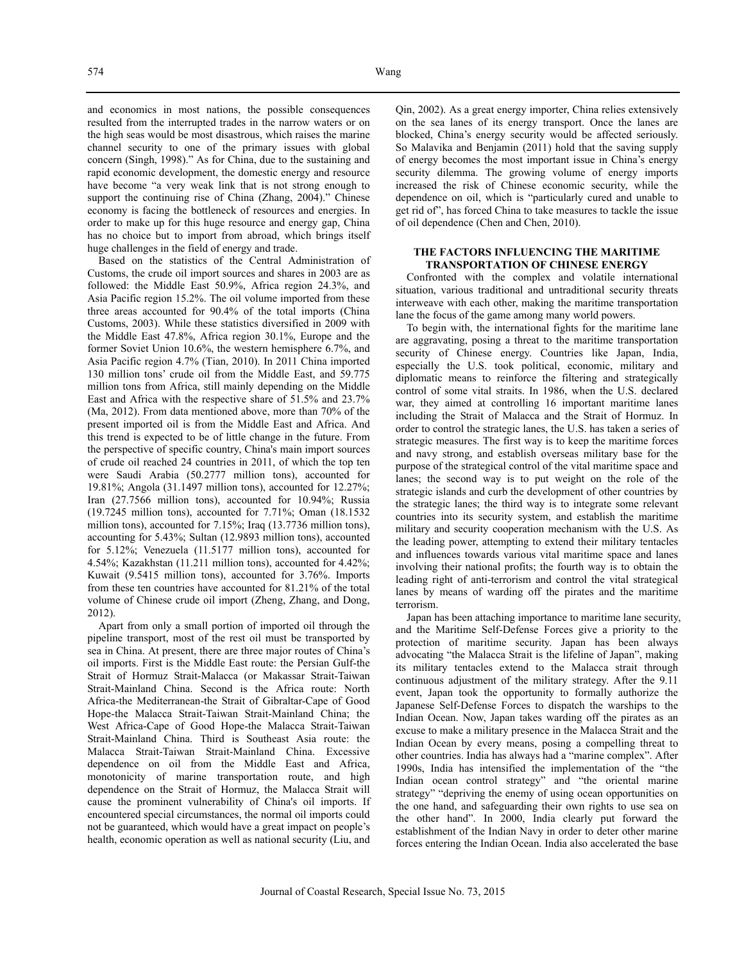and economics in most nations, the possible consequences resulted from the interrupted trades in the narrow waters or on the high seas would be most disastrous, which raises the marine channel security to one of the primary issues with global concern (Singh, 1998)." As for China, due to the sustaining and rapid economic development, the domestic energy and resource have become "a very weak link that is not strong enough to support the continuing rise of China (Zhang, 2004)." Chinese economy is facing the bottleneck of resources and energies. In order to make up for this huge resource and energy gap, China has no choice but to import from abroad, which brings itself huge challenges in the field of energy and trade.

Based on the statistics of the Central Administration of Customs, the crude oil import sources and shares in 2003 are as followed: the Middle East 50.9%, Africa region 24.3%, and Asia Pacific region 15.2%. The oil volume imported from these three areas accounted for 90.4% of the total imports (China Customs, 2003). While these statistics diversified in 2009 with the Middle East 47.8%, Africa region 30.1%, Europe and the former Soviet Union 10.6%, the western hemisphere 6.7%, and Asia Pacific region 4.7% (Tian, 2010). In 2011 China imported 130 million tons' crude oil from the Middle East, and 59.775 million tons from Africa, still mainly depending on the Middle East and Africa with the respective share of 51.5% and 23.7% (Ma, 2012). From data mentioned above, more than 70% of the present imported oil is from the Middle East and Africa. And this trend is expected to be of little change in the future. From the perspective of specific country, China's main import sources of crude oil reached 24 countries in 2011, of which the top ten were Saudi Arabia (50.2777 million tons), accounted for 19.81%; Angola (31.1497 million tons), accounted for 12.27%; Iran (27.7566 million tons), accounted for 10.94%; Russia (19.7245 million tons), accounted for 7.71%; Oman (18.1532 million tons), accounted for 7.15%; Iraq (13.7736 million tons), accounting for 5.43%; Sultan (12.9893 million tons), accounted for 5.12%; Venezuela (11.5177 million tons), accounted for 4.54%; Kazakhstan (11.211 million tons), accounted for 4.42%; Kuwait (9.5415 million tons), accounted for 3.76%. Imports from these ten countries have accounted for 81.21% of the total volume of Chinese crude oil import (Zheng, Zhang, and Dong, 2012).

Apart from only a small portion of imported oil through the pipeline transport, most of the rest oil must be transported by sea in China. At present, there are three major routes of China's oil imports. First is the Middle East route: the Persian Gulf-the Strait of Hormuz Strait-Malacca (or Makassar Strait-Taiwan Strait-Mainland China. Second is the Africa route: North Africa-the Mediterranean-the Strait of Gibraltar-Cape of Good Hope-the Malacca Strait-Taiwan Strait-Mainland China; the West Africa-Cape of Good Hope-the Malacca Strait-Taiwan Strait-Mainland China. Third is Southeast Asia route: the Malacca Strait-Taiwan Strait-Mainland China. Excessive dependence on oil from the Middle East and Africa, monotonicity of marine transportation route, and high dependence on the Strait of Hormuz, the Malacca Strait will cause the prominent vulnerability of China's oil imports. If encountered special circumstances, the normal oil imports could not be guaranteed, which would have a great impact on people's health, economic operation as well as national security (Liu, and

Qin, 2002). As a great energy importer, China relies extensively on the sea lanes of its energy transport. Once the lanes are blocked, China's energy security would be affected seriously. So Malavika and Benjamin (2011) hold that the saving supply of energy becomes the most important issue in China's energy security dilemma. The growing volume of energy imports increased the risk of Chinese economic security, while the dependence on oil, which is "particularly cured and unable to get rid of", has forced China to take measures to tackle the issue of oil dependence (Chen and Chen, 2010).

#### **THE FACTORS INFLUENCING THE MARITIME TRANSPORTATION OF CHINESE ENERGY**

Confronted with the complex and volatile international situation, various traditional and untraditional security threats interweave with each other, making the maritime transportation lane the focus of the game among many world powers.

To begin with, the international fights for the maritime lane are aggravating, posing a threat to the maritime transportation security of Chinese energy. Countries like Japan, India, especially the U.S. took political, economic, military and diplomatic means to reinforce the filtering and strategically control of some vital straits. In 1986, when the U.S. declared war, they aimed at controlling 16 important maritime lanes including the Strait of Malacca and the Strait of Hormuz. In order to control the strategic lanes, the U.S. has taken a series of strategic measures. The first way is to keep the maritime forces and navy strong, and establish overseas military base for the purpose of the strategical control of the vital maritime space and lanes; the second way is to put weight on the role of the strategic islands and curb the development of other countries by the strategic lanes; the third way is to integrate some relevant countries into its security system, and establish the maritime military and security cooperation mechanism with the U.S. As the leading power, attempting to extend their military tentacles and influences towards various vital maritime space and lanes involving their national profits; the fourth way is to obtain the leading right of anti-terrorism and control the vital strategical lanes by means of warding off the pirates and the maritime terrorism.

Japan has been attaching importance to maritime lane security, and the Maritime Self-Defense Forces give a priority to the protection of maritime security. Japan has been always advocating "the Malacca Strait is the lifeline of Japan", making its military tentacles extend to the Malacca strait through continuous adjustment of the military strategy. After the 9.11 event, Japan took the opportunity to formally authorize the Japanese Self-Defense Forces to dispatch the warships to the Indian Ocean. Now, Japan takes warding off the pirates as an excuse to make a military presence in the Malacca Strait and the Indian Ocean by every means, posing a compelling threat to other countries. India has always had a "marine complex". After 1990s, India has intensified the implementation of the "the Indian ocean control strategy" and "the oriental marine strategy" "depriving the enemy of using ocean opportunities on the one hand, and safeguarding their own rights to use sea on the other hand". In 2000, India clearly put forward the establishment of the Indian Navy in order to deter other marine forces entering the Indian Ocean. India also accelerated the base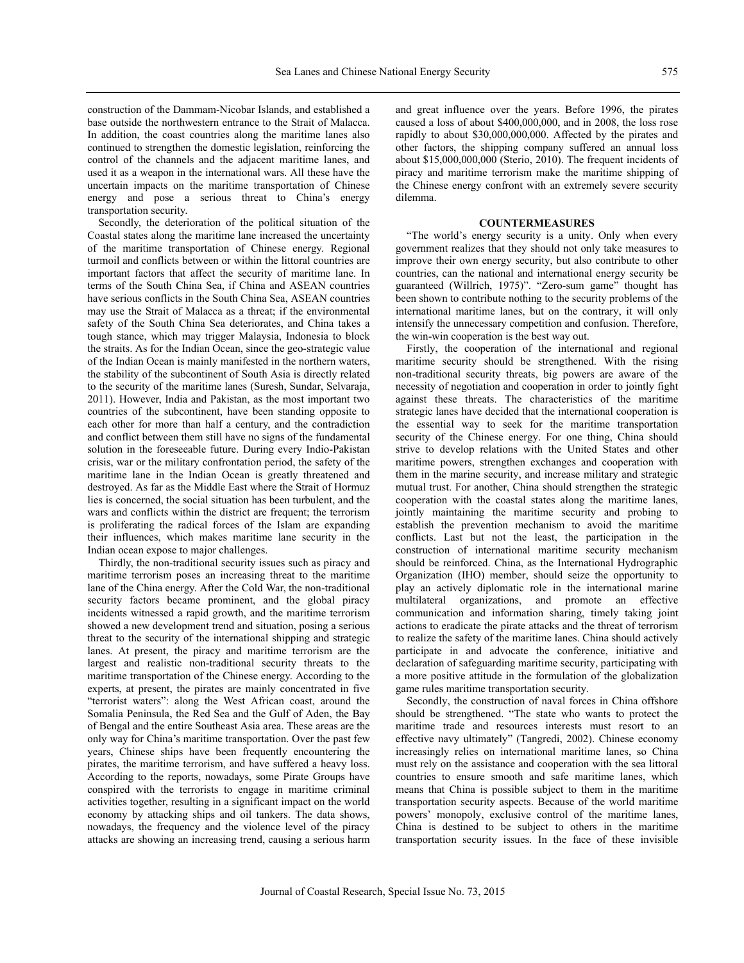Journal of Coastal Research, Special Issue No. 73, 2015

construction of the Dammam-Nicobar Islands, and established a base outside the northwestern entrance to the Strait of Malacca. In addition, the coast countries along the maritime lanes also continued to strengthen the domestic legislation, reinforcing the control of the channels and the adjacent maritime lanes, and used it as a weapon in the international wars. All these have the uncertain impacts on the maritime transportation of Chinese energy and pose a serious threat to China's energy transportation security.

Secondly, the deterioration of the political situation of the Coastal states along the maritime lane increased the uncertainty of the maritime transportation of Chinese energy. Regional turmoil and conflicts between or within the littoral countries are important factors that affect the security of maritime lane. In terms of the South China Sea, if China and ASEAN countries have serious conflicts in the South China Sea, ASEAN countries may use the Strait of Malacca as a threat; if the environmental safety of the South China Sea deteriorates, and China takes a tough stance, which may trigger Malaysia, Indonesia to block the straits. As for the Indian Ocean, since the geo-strategic value of the Indian Ocean is mainly manifested in the northern waters, the stability of the subcontinent of South Asia is directly related to the security of the maritime lanes (Suresh, Sundar, Selvaraja, 2011). However, India and Pakistan, as the most important two countries of the subcontinent, have been standing opposite to each other for more than half a century, and the contradiction and conflict between them still have no signs of the fundamental solution in the foreseeable future. During every Indio-Pakistan crisis, war or the military confrontation period, the safety of the maritime lane in the Indian Ocean is greatly threatened and destroyed. As far as the Middle East where the Strait of Hormuz lies is concerned, the social situation has been turbulent, and the wars and conflicts within the district are frequent; the terrorism is proliferating the radical forces of the Islam are expanding their influences, which makes maritime lane security in the Indian ocean expose to major challenges.

Thirdly, the non-traditional security issues such as piracy and maritime terrorism poses an increasing threat to the maritime lane of the China energy. After the Cold War, the non-traditional security factors became prominent, and the global piracy incidents witnessed a rapid growth, and the maritime terrorism showed a new development trend and situation, posing a serious threat to the security of the international shipping and strategic lanes. At present, the piracy and maritime terrorism are the largest and realistic non-traditional security threats to the maritime transportation of the Chinese energy. According to the experts, at present, the pirates are mainly concentrated in five "terrorist waters": along the West African coast, around the Somalia Peninsula, the Red Sea and the Gulf of Aden, the Bay of Bengal and the entire Southeast Asia area. These areas are the only way for China's maritime transportation. Over the past few years, Chinese ships have been frequently encountering the pirates, the maritime terrorism, and have suffered a heavy loss. According to the reports, nowadays, some Pirate Groups have conspired with the terrorists to engage in maritime criminal activities together, resulting in a significant impact on the world economy by attacking ships and oil tankers. The data shows, nowadays, the frequency and the violence level of the piracy attacks are showing an increasing trend, causing a serious harm and great influence over the years. Before 1996, the pirates caused a loss of about \$400,000,000, and in 2008, the loss rose rapidly to about \$30,000,000,000. Affected by the pirates and other factors, the shipping company suffered an annual loss about \$15,000,000,000 (Sterio, 2010). The frequent incidents of piracy and maritime terrorism make the maritime shipping of the Chinese energy confront with an extremely severe security dilemma.

# **COUNTERMEASURES**

"The world's energy security is a unity. Only when every government realizes that they should not only take measures to improve their own energy security, but also contribute to other countries, can the national and international energy security be guaranteed (Willrich, 1975)". "Zero-sum game" thought has been shown to contribute nothing to the security problems of the international maritime lanes, but on the contrary, it will only intensify the unnecessary competition and confusion. Therefore, the win-win cooperation is the best way out.

Firstly, the cooperation of the international and regional maritime security should be strengthened. With the rising non-traditional security threats, big powers are aware of the necessity of negotiation and cooperation in order to jointly fight against these threats. The characteristics of the maritime strategic lanes have decided that the international cooperation is the essential way to seek for the maritime transportation security of the Chinese energy. For one thing, China should strive to develop relations with the United States and other maritime powers, strengthen exchanges and cooperation with them in the marine security, and increase military and strategic mutual trust. For another, China should strengthen the strategic cooperation with the coastal states along the maritime lanes, jointly maintaining the maritime security and probing to establish the prevention mechanism to avoid the maritime conflicts. Last but not the least, the participation in the construction of international maritime security mechanism should be reinforced. China, as the International Hydrographic Organization (IHO) member, should seize the opportunity to play an actively diplomatic role in the international marine multilateral organizations, and promote an effective communication and information sharing, timely taking joint actions to eradicate the pirate attacks and the threat of terrorism to realize the safety of the maritime lanes. China should actively participate in and advocate the conference, initiative and declaration of safeguarding maritime security, participating with a more positive attitude in the formulation of the globalization game rules maritime transportation security.

Secondly, the construction of naval forces in China offshore should be strengthened. "The state who wants to protect the maritime trade and resources interests must resort to an effective navy ultimately" (Tangredi, 2002). Chinese economy increasingly relies on international maritime lanes, so China must rely on the assistance and cooperation with the sea littoral countries to ensure smooth and safe maritime lanes, which means that China is possible subject to them in the maritime transportation security aspects. Because of the world maritime powers' monopoly, exclusive control of the maritime lanes, China is destined to be subject to others in the maritime transportation security issues. In the face of these invisible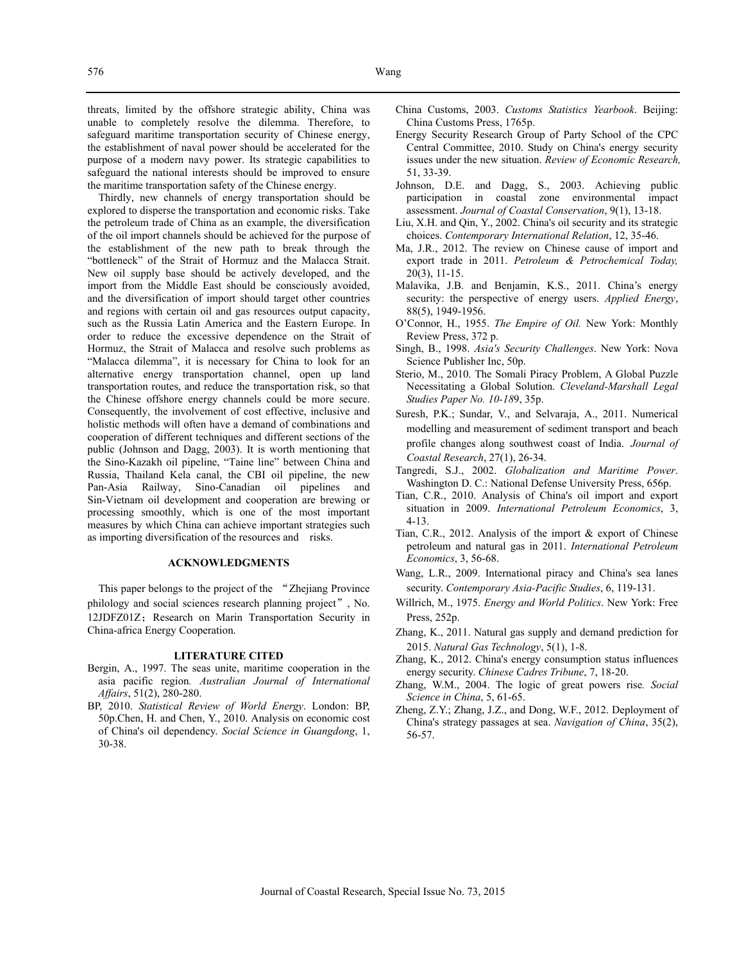threats, limited by the offshore strategic ability, China was unable to completely resolve the dilemma. Therefore, to safeguard maritime transportation security of Chinese energy, the establishment of naval power should be accelerated for the purpose of a modern navy power. Its strategic capabilities to safeguard the national interests should be improved to ensure the maritime transportation safety of the Chinese energy.

Thirdly, new channels of energy transportation should be explored to disperse the transportation and economic risks. Take the petroleum trade of China as an example, the diversification of the oil import channels should be achieved for the purpose of the establishment of the new path to break through the "bottleneck" of the Strait of Hormuz and the Malacca Strait. New oil supply base should be actively developed, and the import from the Middle East should be consciously avoided, and the diversification of import should target other countries and regions with certain oil and gas resources output capacity, such as the Russia Latin America and the Eastern Europe. In order to reduce the excessive dependence on the Strait of Hormuz, the Strait of Malacca and resolve such problems as "Malacca dilemma", it is necessary for China to look for an alternative energy transportation channel, open up land transportation routes, and reduce the transportation risk, so that the Chinese offshore energy channels could be more secure. Consequently, the involvement of cost effective, inclusive and holistic methods will often have a demand of combinations and cooperation of different techniques and different sections of the public (Johnson and Dagg, 2003). It is worth mentioning that the Sino-Kazakh oil pipeline, "Taine line" between China and Russia, Thailand Kela canal, the CBI oil pipeline, the new Pan-Asia Railway, Sino-Canadian oil pipelines and Sin-Vietnam oil development and cooperation are brewing or processing smoothly, which is one of the most important measures by which China can achieve important strategies such as importing diversification of the resources and risks.

# **ACKNOWLEDGMENTS**

This paper belongs to the project of the "Zhejiang Province philology and social sciences research planning project", No. 12JDFZ01Z; Research on Marin Transportation Security in China-africa Energy Cooperation.

## **LITERATURE CITED**

- Bergin, A., 1997. The seas unite, maritime cooperation in the asia pacific region*. Australian Journal of International Affairs*, 51(2), 280-280.
- BP, 2010. *Statistical Review of World Energy*. London: BP, 50p.Chen, H. and Chen, Y., 2010. Analysis on economic cost of China's oil dependency. *Social Science in Guangdong*, 1, 30-38.
- China Customs, 2003. *Customs Statistics Yearbook*. Beijing: China Customs Press, 1765p.
- Energy Security Research Group of Party School of the CPC Central Committee, 2010. Study on China's energy security issues under the new situation. *Review of Economic Research,* 51, 33-39.
- Johnson, D.E. and Dagg, S., 2003. Achieving public participation in coastal zone environmental impact assessment. *Journal of Coastal Conservation*, 9(1), 13-18.
- Liu, X.H. and Qin, Y., 2002. China's oil security and its strategic choices. *Contemporary International Relation*, 12, 35-46.
- Ma, J.R., 2012. The review on Chinese cause of import and export trade in 2011. *Petroleum & Petrochemical Today,*  20(3), 11-15.
- Malavika, J.B. and Benjamin, K.S., 2011. China's energy security: the perspective of energy users. *Applied Energy*, 88(5), 1949-1956.
- O'Connor, H., 1955. *The Empire of Oil.* New York: Monthly Review Press, 372 p.
- Singh, B., 1998. *Asia's Security Challenges*. New York: Nova Science Publisher Inc, 50p.
- Sterio, M., 2010. The Somali Piracy Problem, A Global Puzzle Necessitating a Global Solution. *Cleveland-Marshall Legal Studies Paper No. 10-18*9, 35p.
- Suresh, P.K.; Sundar, V., and Selvaraja, A., 2011. Numerical modelling and measurement of sediment transport and beach profile changes along southwest coast of India. *Journal of Coastal Research*, 27(1), 26-34.
- Tangredi, S.J., 2002. *Globalization and Maritime Power*. Washington D. C.: National Defense University Press, 656p.
- Tian, C.R., 2010. Analysis of China's oil import and export situation in 2009. *International Petroleum Economics*, 3, 4-13.
- Tian, C.R., 2012. Analysis of the import & export of Chinese petroleum and natural gas in 2011. *International Petroleum Economics*, 3, 56-68.
- Wang, L.R., 2009. International piracy and China's sea lanes security. *Contemporary Asia-Pacific Studies*, 6, 119-131.
- Willrich, M., 1975. *Energy and World Politics*. New York: Free Press, 252p.
- Zhang, K., 2011. Natural gas supply and demand prediction for 2015. *Natural Gas Technology*, 5(1), 1-8.
- Zhang, K., 2012. China's energy consumption status influences energy security. *Chinese Cadres Tribune*, 7, 18-20.
- Zhang, W.M., 2004. The logic of great powers rise*. Social Science in China*, 5, 61-65.
- Zheng, Z.Y.; Zhang, J.Z., and Dong, W.F., 2012. Deployment of China's strategy passages at sea. *Navigation of China*, 35(2), 56-57.